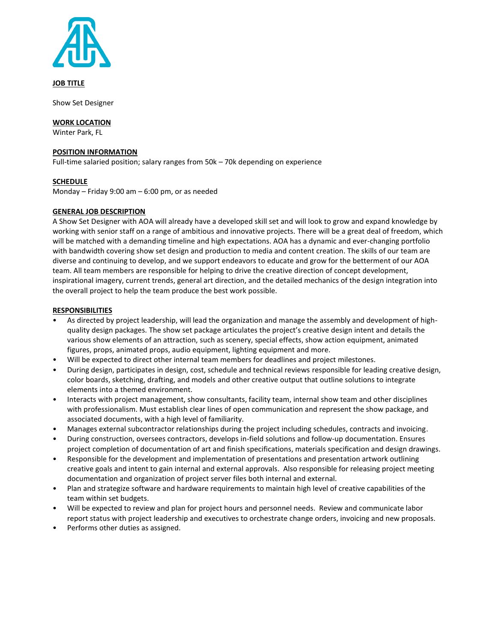

**JOB TITLE**

Show Set Designer

## **WORK LOCATION**

Winter Park, FL

## **POSITION INFORMATION**

Full-time salaried position; salary ranges from 50k – 70k depending on experience

# **SCHEDULE**

Monday – Friday 9:00 am – 6:00 pm, or as needed

# **GENERAL JOB DESCRIPTION**

A Show Set Designer with AOA will already have a developed skill set and will look to grow and expand knowledge by working with senior staff on a range of ambitious and innovative projects. There will be a great deal of freedom, which will be matched with a demanding timeline and high expectations. AOA has a dynamic and ever-changing portfolio with bandwidth covering show set design and production to media and content creation. The skills of our team are diverse and continuing to develop, and we support endeavors to educate and grow for the betterment of our AOA team. All team members are responsible for helping to drive the creative direction of concept development, inspirational imagery, current trends, general art direction, and the detailed mechanics of the design integration into the overall project to help the team produce the best work possible.

## **RESPONSIBILITIES**

- As directed by project leadership, will lead the organization and manage the assembly and development of highquality design packages. The show set package articulates the project's creative design intent and details the various show elements of an attraction, such as scenery, special effects, show action equipment, animated figures, props, animated props, audio equipment, lighting equipment and more.
- Will be expected to direct other internal team members for deadlines and project milestones.
- During design, participates in design, cost, schedule and technical reviews responsible for leading creative design, color boards, sketching, drafting, and models and other creative output that outline solutions to integrate elements into a themed environment.
- Interacts with project management, show consultants, facility team, internal show team and other disciplines with professionalism. Must establish clear lines of open communication and represent the show package, and associated documents, with a high level of familiarity.
- Manages external subcontractor relationships during the project including schedules, contracts and invoicing.
- During construction, oversees contractors, develops in-field solutions and follow-up documentation. Ensures project completion of documentation of art and finish specifications, materials specification and design drawings.
- Responsible for the development and implementation of presentations and presentation artwork outlining creative goals and intent to gain internal and external approvals. Also responsible for releasing project meeting documentation and organization of project server files both internal and external.
- Plan and strategize software and hardware requirements to maintain high level of creative capabilities of the team within set budgets.
- Will be expected to review and plan for project hours and personnel needs. Review and communicate labor report status with project leadership and executives to orchestrate change orders, invoicing and new proposals.
- Performs other duties as assigned.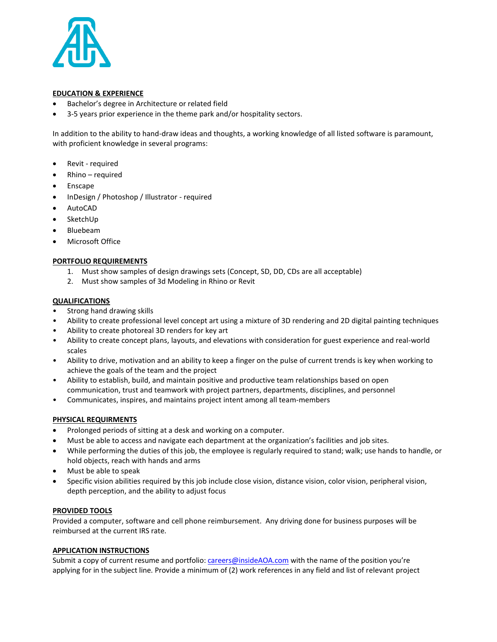

## **EDUCATION & EXPERIENCE**

- Bachelor's degree in Architecture or related field
- 3-5 years prior experience in the theme park and/or hospitality sectors.

In addition to the ability to hand-draw ideas and thoughts, a working knowledge of all listed software is paramount, with proficient knowledge in several programs:

- Revit required
- Rhino required
- **Enscape**
- InDesign / Photoshop / Illustrator required
- AutoCAD
- SketchUp
- Bluebeam
- Microsoft Office

## **PORTFOLIO REQUIREMENTS**

- 1. Must show samples of design drawings sets (Concept, SD, DD, CDs are all acceptable)
- 2. Must show samples of 3d Modeling in Rhino or Revit

### **QUALIFICATIONS**

- Strong hand drawing skills
- Ability to create professional level concept art using a mixture of 3D rendering and 2D digital painting techniques
- Ability to create photoreal 3D renders for key art
- Ability to create concept plans, layouts, and elevations with consideration for guest experience and real-world scales
- Ability to drive, motivation and an ability to keep a finger on the pulse of current trends is key when working to achieve the goals of the team and the project
- Ability to establish, build, and maintain positive and productive team relationships based on open communication, trust and teamwork with project partners, departments, disciplines, and personnel
- Communicates, inspires, and maintains project intent among all team-members

# **PHYSICAL REQUIRMENTS**

- Prolonged periods of sitting at a desk and working on a computer.
- Must be able to access and navigate each department at the organization's facilities and job sites.
- While performing the duties of this job, the employee is regularly required to stand; walk; use hands to handle, or hold objects, reach with hands and arms
- Must be able to speak
- Specific vision abilities required by this job include close vision, distance vision, color vision, peripheral vision, depth perception, and the ability to adjust focus

### **PROVIDED TOOLS**

Provided a computer, software and cell phone reimbursement. Any driving done for business purposes will be reimbursed at the current IRS rate.

### **APPLICATION INSTRUCTIONS**

Submit a copy of current resume and portfolio: [careers@insideAOA.com](mailto:careers@insideAOA.com) with the name of the position you're applying for in the subject line. Provide a minimum of (2) work references in any field and list of relevant project